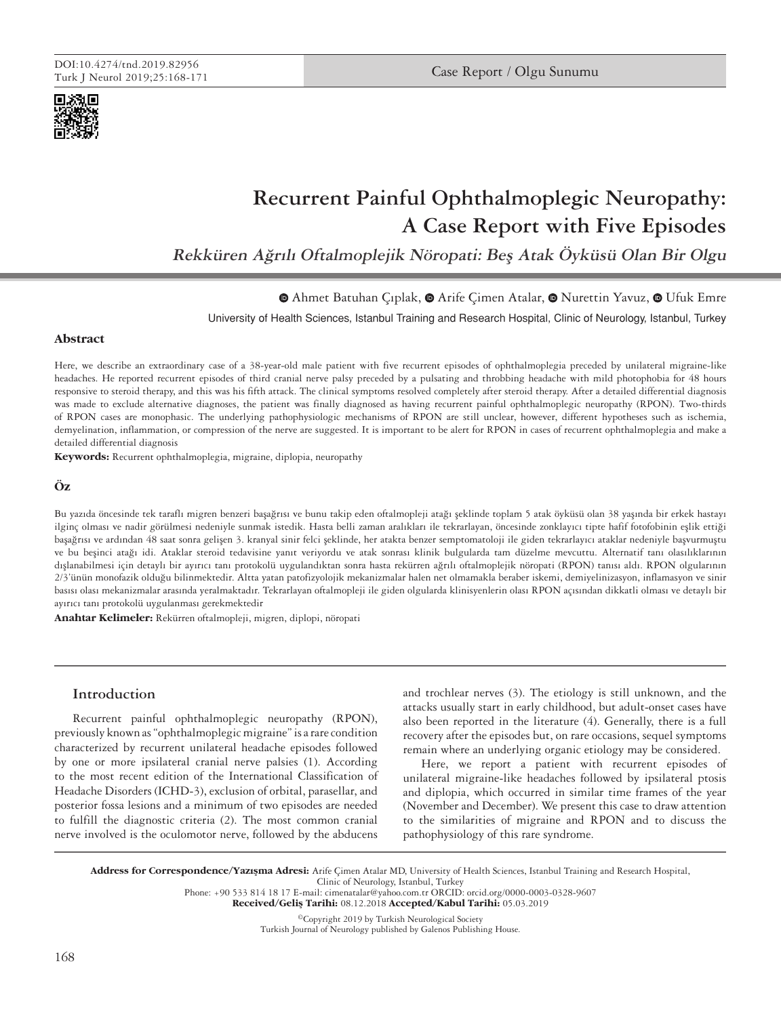

# **Recurrent Painful Ophthalmoplegic Neuropathy: A Case Report with Five Episodes**

**Rekküren Ağrılı Oftalmoplejik Nöropati: Beş Atak Öyküsü Olan Bir Olgu**

 $\bullet$ Ahmet Batuhan Ciplak,  $\bullet$  Arife Cimen Atalar,  $\bullet$  Nurettin Yavuz,  $\bullet$  Ufuk Emre

University of Health Sciences, Istanbul Training and Research Hospital, Clinic of Neurology, Istanbul, Turkey

## **Abstract**

Here, we describe an extraordinary case of a 38-year-old male patient with five recurrent episodes of ophthalmoplegia preceded by unilateral migraine-like headaches. He reported recurrent episodes of third cranial nerve palsy preceded by a pulsating and throbbing headache with mild photophobia for 48 hours responsive to steroid therapy, and this was his fifth attack. The clinical symptoms resolved completely after steroid therapy. After a detailed differential diagnosis was made to exclude alternative diagnoses, the patient was finally diagnosed as having recurrent painful ophthalmoplegic neuropathy (RPON). Two-thirds of RPON cases are monophasic. The underlying pathophysiologic mechanisms of RPON are still unclear, however, different hypotheses such as ischemia, demyelination, inflammation, or compression of the nerve are suggested. It is important to be alert for RPON in cases of recurrent ophthalmoplegia and make a detailed differential diagnosis

**Keywords:** Recurrent ophthalmoplegia, migraine, diplopia, neuropathy

## **Öz**

Bu yazıda öncesinde tek taraflı migren benzeri başağrısı ve bunu takip eden oftalmopleji atağı şeklinde toplam 5 atak öyküsü olan 38 yaşında bir erkek hastayı ilginç olması ve nadir görülmesi nedeniyle sunmak istedik. Hasta belli zaman aralıkları ile tekrarlayan, öncesinde zonklayıcı tipte hafif fotofobinin eşlik ettiği başağrısı ve ardından 48 saat sonra gelişen 3. kranyal sinir felci şeklinde, her atakta benzer semptomatoloji ile giden tekrarlayıcı ataklar nedeniyle başvurmuştu ve bu beşinci atağı idi. Ataklar steroid tedavisine yanıt veriyordu ve atak sonrası klinik bulgularda tam düzelme mevcuttu. Alternatif tanı olasılıklarının dışlanabilmesi için detaylı bir ayırıcı tanı protokolü uygulandıktan sonra hasta rekürren ağrılı oftalmoplejik nöropati (RPON) tanısı aldı. RPON olgularının 2/3'ünün monofazik olduğu bilinmektedir. Altta yatan patofizyolojik mekanizmalar halen net olmamakla beraber iskemi, demiyelinizasyon, inflamasyon ve sinir basısı olası mekanizmalar arasında yeralmaktadır. Tekrarlayan oftalmopleji ile giden olgularda klinisyenlerin olası RPON açısından dikkatli olması ve detaylı bir ayırıcı tanı protokolü uygulanması gerekmektedir

**Anahtar Kelimeler:** Rekürren oftalmopleji, migren, diplopi, nöropati

## **Introduction**

Recurrent painful ophthalmoplegic neuropathy (RPON), previously known as "ophthalmoplegic migraine" is a rare condition characterized by recurrent unilateral headache episodes followed by one or more ipsilateral cranial nerve palsies (1). According to the most recent edition of the International Classification of Headache Disorders (ICHD-3), exclusion of orbital, parasellar, and posterior fossa lesions and a minimum of two episodes are needed to fulfill the diagnostic criteria (2). The most common cranial nerve involved is the oculomotor nerve, followed by the abducens

and trochlear nerves (3). The etiology is still unknown, and the attacks usually start in early childhood, but adult-onset cases have also been reported in the literature (4). Generally, there is a full recovery after the episodes but, on rare occasions, sequel symptoms remain where an underlying organic etiology may be considered.

Here, we report a patient with recurrent episodes of unilateral migraine-like headaches followed by ipsilateral ptosis and diplopia, which occurred in similar time frames of the year (November and December). We present this case to draw attention to the similarities of migraine and RPON and to discuss the pathophysiology of this rare syndrome.

Address for Correspondence/Yazışma Adresi: Arife Çimen Atalar MD, University of Health Sciences, Istanbul Training and Research Hospital, Clinic of Neurology, Istanbul, Turkey

Phone: +90 533 814 18 17 E-mail: cimenatalar@yahoo.com.tr ORCID: orcid.org/0000-0003-0328-9607

Received/Geliş Tarihi: 08.12.2018 Accepted/Kabul Tarihi: 05.03.2019

©Copyright 2019 by Turkish Neurological Society Turkish Journal of Neurology published by Galenos Publishing House.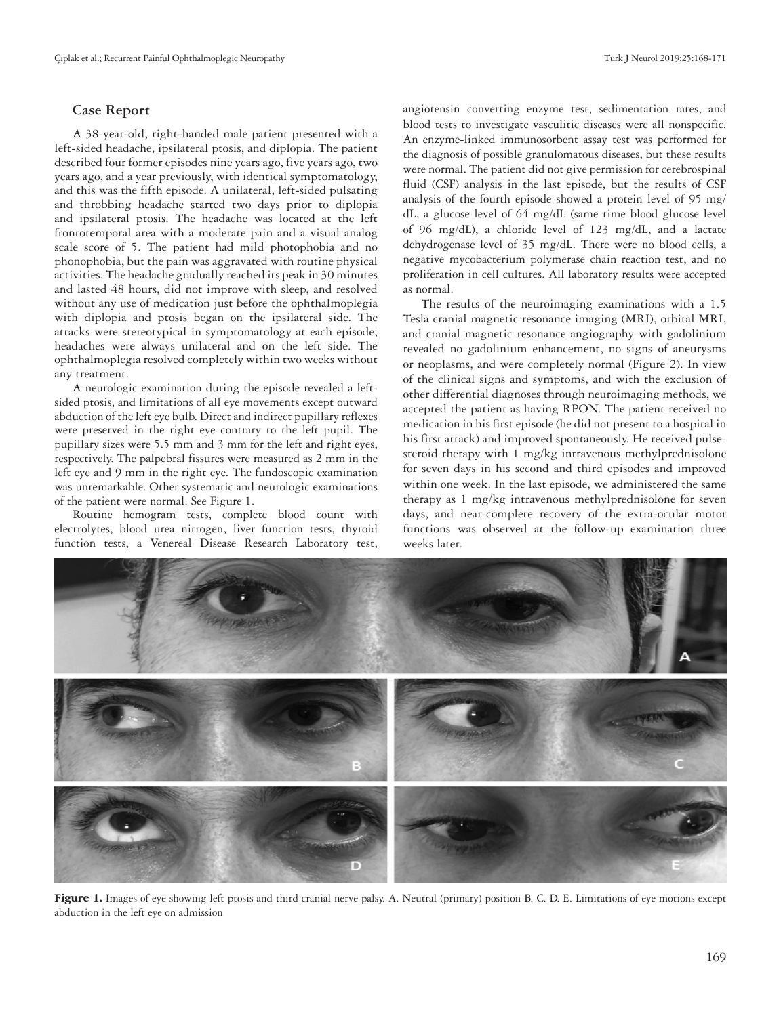### **Case Report**

A 38-year-old, right-handed male patient presented with a left-sided headache, ipsilateral ptosis, and diplopia. The patient described four former episodes nine years ago, five years ago, two years ago, and a year previously, with identical symptomatology, and this was the fifth episode. A unilateral, left-sided pulsating and throbbing headache started two days prior to diplopia and ipsilateral ptosis. The headache was located at the left frontotemporal area with a moderate pain and a visual analog scale score of 5. The patient had mild photophobia and no phonophobia, but the pain was aggravated with routine physical activities. The headache gradually reached its peak in 30 minutes and lasted 48 hours, did not improve with sleep, and resolved without any use of medication just before the ophthalmoplegia with diplopia and ptosis began on the ipsilateral side. The attacks were stereotypical in symptomatology at each episode; headaches were always unilateral and on the left side. The ophthalmoplegia resolved completely within two weeks without any treatment.

A neurologic examination during the episode revealed a leftsided ptosis, and limitations of all eye movements except outward abduction of the left eye bulb. Direct and indirect pupillary reflexes were preserved in the right eye contrary to the left pupil. The pupillary sizes were 5.5 mm and 3 mm for the left and right eyes, respectively. The palpebral fissures were measured as 2 mm in the left eye and 9 mm in the right eye. The fundoscopic examination was unremarkable. Other systematic and neurologic examinations of the patient were normal. See Figure 1.

Routine hemogram tests, complete blood count with electrolytes, blood urea nitrogen, liver function tests, thyroid function tests, a Venereal Disease Research Laboratory test,

angiotensin converting enzyme test, sedimentation rates, and blood tests to investigate vasculitic diseases were all nonspecific. An enzyme-linked immunosorbent assay test was performed for the diagnosis of possible granulomatous diseases, but these results were normal. The patient did not give permission for cerebrospinal fluid (CSF) analysis in the last episode, but the results of CSF analysis of the fourth episode showed a protein level of 95 mg/ dL, a glucose level of 64 mg/dL (same time blood glucose level of 96 mg/dL), a chloride level of 123 mg/dL, and a lactate dehydrogenase level of 35 mg/dL. There were no blood cells, a negative mycobacterium polymerase chain reaction test, and no proliferation in cell cultures. All laboratory results were accepted as normal.

The results of the neuroimaging examinations with a 1.5 Tesla cranial magnetic resonance imaging (MRI), orbital MRI, and cranial magnetic resonance angiography with gadolinium revealed no gadolinium enhancement, no signs of aneurysms or neoplasms, and were completely normal (Figure 2). In view of the clinical signs and symptoms, and with the exclusion of other differential diagnoses through neuroimaging methods, we accepted the patient as having RPON. The patient received no medication in his first episode (he did not present to a hospital in his first attack) and improved spontaneously. He received pulsesteroid therapy with 1 mg/kg intravenous methylprednisolone for seven days in his second and third episodes and improved within one week. In the last episode, we administered the same therapy as 1 mg/kg intravenous methylprednisolone for seven days, and near-complete recovery of the extra-ocular motor functions was observed at the follow-up examination three weeks later.



Figure 1. Images of eye showing left ptosis and third cranial nerve palsy. A. Neutral (primary) position B. C. D. E. Limitations of eye motions except abduction in the left eye on admission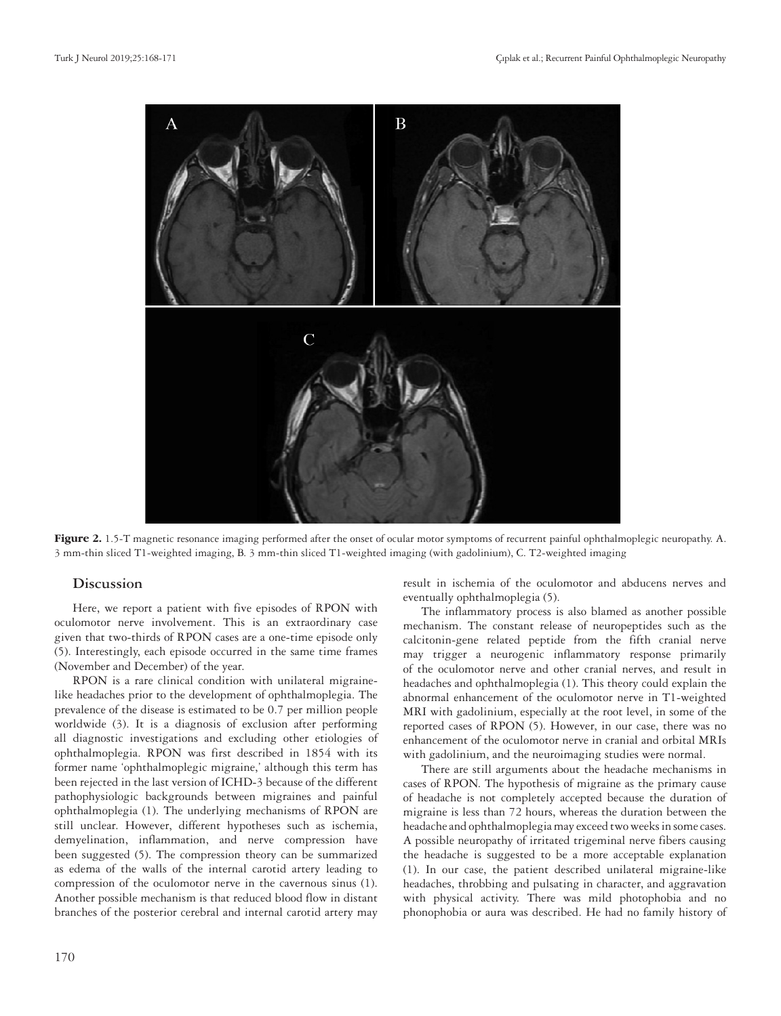

Figure 2. 1.5-T magnetic resonance imaging performed after the onset of ocular motor symptoms of recurrent painful ophthalmoplegic neuropathy. A. 3 mm-thin sliced T1-weighted imaging, B. 3 mm-thin sliced T1-weighted imaging (with gadolinium), C. T2-weighted imaging

## **Discussion**

Here, we report a patient with five episodes of RPON with oculomotor nerve involvement. This is an extraordinary case given that two-thirds of RPON cases are a one-time episode only (5). Interestingly, each episode occurred in the same time frames (November and December) of the year.

RPON is a rare clinical condition with unilateral migrainelike headaches prior to the development of ophthalmoplegia. The prevalence of the disease is estimated to be 0.7 per million people worldwide (3). It is a diagnosis of exclusion after performing all diagnostic investigations and excluding other etiologies of ophthalmoplegia. RPON was first described in 1854 with its former name 'ophthalmoplegic migraine,' although this term has been rejected in the last version of ICHD-3 because of the different pathophysiologic backgrounds between migraines and painful ophthalmoplegia (1). The underlying mechanisms of RPON are still unclear. However, different hypotheses such as ischemia, demyelination, inflammation, and nerve compression have been suggested (5). The compression theory can be summarized as edema of the walls of the internal carotid artery leading to compression of the oculomotor nerve in the cavernous sinus (1). Another possible mechanism is that reduced blood flow in distant branches of the posterior cerebral and internal carotid artery may

result in ischemia of the oculomotor and abducens nerves and eventually ophthalmoplegia (5).

The inflammatory process is also blamed as another possible mechanism. The constant release of neuropeptides such as the calcitonin-gene related peptide from the fifth cranial nerve may trigger a neurogenic inflammatory response primarily of the oculomotor nerve and other cranial nerves, and result in headaches and ophthalmoplegia (1). This theory could explain the abnormal enhancement of the oculomotor nerve in T1-weighted MRI with gadolinium, especially at the root level, in some of the reported cases of RPON (5). However, in our case, there was no enhancement of the oculomotor nerve in cranial and orbital MRIs with gadolinium, and the neuroimaging studies were normal.

There are still arguments about the headache mechanisms in cases of RPON. The hypothesis of migraine as the primary cause of headache is not completely accepted because the duration of migraine is less than 72 hours, whereas the duration between the headache and ophthalmoplegia may exceed two weeks in some cases. A possible neuropathy of irritated trigeminal nerve fibers causing the headache is suggested to be a more acceptable explanation (1). In our case, the patient described unilateral migraine-like headaches, throbbing and pulsating in character, and aggravation with physical activity. There was mild photophobia and no phonophobia or aura was described. He had no family history of